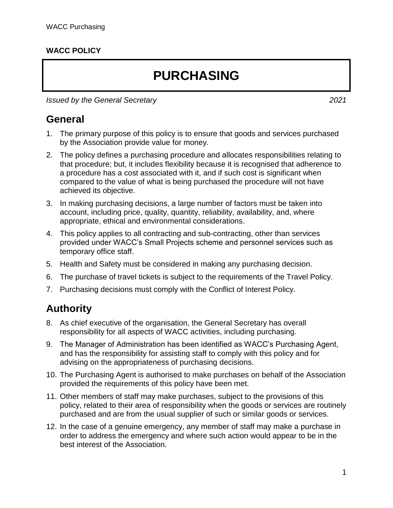#### **WACC POLICY**

# **PURCHASING**

*Issued by the General Secretary 2021*

#### **General**

- 1. The primary purpose of this policy is to ensure that goods and services purchased by the Association provide value for money.
- 2. The policy defines a purchasing procedure and allocates responsibilities relating to that procedure; but, it includes flexibility because it is recognised that adherence to a procedure has a cost associated with it, and if such cost is significant when compared to the value of what is being purchased the procedure will not have achieved its objective.
- 3. In making purchasing decisions, a large number of factors must be taken into account, including price, quality, quantity, reliability, availability, and, where appropriate, ethical and environmental considerations.
- 4. This policy applies to all contracting and sub-contracting, other than services provided under WACC's Small Projects scheme and personnel services such as temporary office staff.
- 5. Health and Safety must be considered in making any purchasing decision.
- 6. The purchase of travel tickets is subject to the requirements of the Travel Policy.
- 7. Purchasing decisions must comply with the Conflict of Interest Policy.

#### **Authority**

- 8. As chief executive of the organisation, the General Secretary has overall responsibility for all aspects of WACC activities, including purchasing.
- 9. The Manager of Administration has been identified as WACC's Purchasing Agent, and has the responsibility for assisting staff to comply with this policy and for advising on the appropriateness of purchasing decisions.
- 10. The Purchasing Agent is authorised to make purchases on behalf of the Association provided the requirements of this policy have been met.
- 11. Other members of staff may make purchases, subject to the provisions of this policy, related to their area of responsibility when the goods or services are routinely purchased and are from the usual supplier of such or similar goods or services.
- 12. In the case of a genuine emergency, any member of staff may make a purchase in order to address the emergency and where such action would appear to be in the best interest of the Association.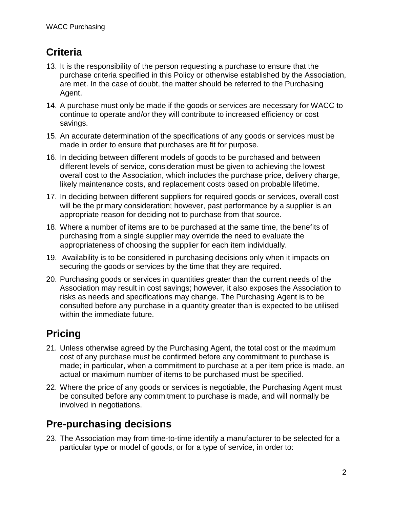## **Criteria**

- 13. It is the responsibility of the person requesting a purchase to ensure that the purchase criteria specified in this Policy or otherwise established by the Association, are met. In the case of doubt, the matter should be referred to the Purchasing Agent.
- 14. A purchase must only be made if the goods or services are necessary for WACC to continue to operate and/or they will contribute to increased efficiency or cost savings.
- 15. An accurate determination of the specifications of any goods or services must be made in order to ensure that purchases are fit for purpose.
- 16. In deciding between different models of goods to be purchased and between different levels of service, consideration must be given to achieving the lowest overall cost to the Association, which includes the purchase price, delivery charge, likely maintenance costs, and replacement costs based on probable lifetime.
- 17. In deciding between different suppliers for required goods or services, overall cost will be the primary consideration; however, past performance by a supplier is an appropriate reason for deciding not to purchase from that source.
- 18. Where a number of items are to be purchased at the same time, the benefits of purchasing from a single supplier may override the need to evaluate the appropriateness of choosing the supplier for each item individually.
- 19. Availability is to be considered in purchasing decisions only when it impacts on securing the goods or services by the time that they are required.
- 20. Purchasing goods or services in quantities greater than the current needs of the Association may result in cost savings; however, it also exposes the Association to risks as needs and specifications may change. The Purchasing Agent is to be consulted before any purchase in a quantity greater than is expected to be utilised within the immediate future.

## **Pricing**

- 21. Unless otherwise agreed by the Purchasing Agent, the total cost or the maximum cost of any purchase must be confirmed before any commitment to purchase is made; in particular, when a commitment to purchase at a per item price is made, an actual or maximum number of items to be purchased must be specified.
- 22. Where the price of any goods or services is negotiable, the Purchasing Agent must be consulted before any commitment to purchase is made, and will normally be involved in negotiations.

### **Pre-purchasing decisions**

23. The Association may from time-to-time identify a manufacturer to be selected for a particular type or model of goods, or for a type of service, in order to: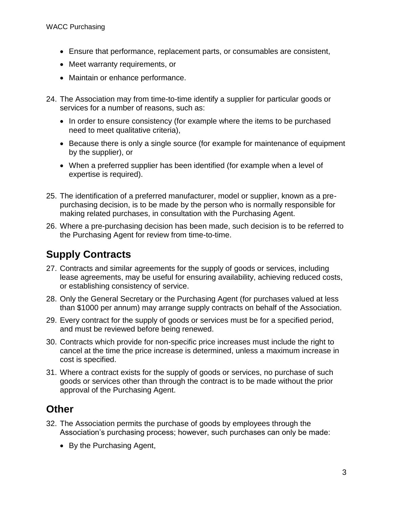- Ensure that performance, replacement parts, or consumables are consistent,
- Meet warranty requirements, or
- Maintain or enhance performance.
- 24. The Association may from time-to-time identify a supplier for particular goods or services for a number of reasons, such as:
	- In order to ensure consistency (for example where the items to be purchased need to meet qualitative criteria),
	- Because there is only a single source (for example for maintenance of equipment by the supplier), or
	- When a preferred supplier has been identified (for example when a level of expertise is required).
- 25. The identification of a preferred manufacturer, model or supplier, known as a prepurchasing decision, is to be made by the person who is normally responsible for making related purchases, in consultation with the Purchasing Agent.
- 26. Where a pre-purchasing decision has been made, such decision is to be referred to the Purchasing Agent for review from time-to-time.

### **Supply Contracts**

- 27. Contracts and similar agreements for the supply of goods or services, including lease agreements, may be useful for ensuring availability, achieving reduced costs, or establishing consistency of service.
- 28. Only the General Secretary or the Purchasing Agent (for purchases valued at less than \$1000 per annum) may arrange supply contracts on behalf of the Association.
- 29. Every contract for the supply of goods or services must be for a specified period, and must be reviewed before being renewed.
- 30. Contracts which provide for non-specific price increases must include the right to cancel at the time the price increase is determined, unless a maximum increase in cost is specified.
- 31. Where a contract exists for the supply of goods or services, no purchase of such goods or services other than through the contract is to be made without the prior approval of the Purchasing Agent.

#### **Other**

- 32. The Association permits the purchase of goods by employees through the Association's purchasing process; however, such purchases can only be made:
	- By the Purchasing Agent,